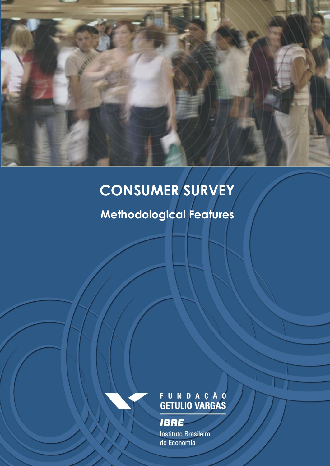<span id="page-0-0"></span>

## **CONSUMER SURVEY**

**Methodological Features**

# FUNDAÇÃO<br>GETULIO VARGAS

**IBRE** 

**Instituto Brasileiro** de Economia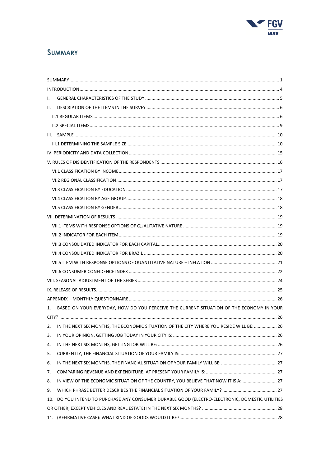

### **SUMMARY**

| L.                                                                                              |  |
|-------------------------------------------------------------------------------------------------|--|
| II.                                                                                             |  |
|                                                                                                 |  |
|                                                                                                 |  |
|                                                                                                 |  |
|                                                                                                 |  |
|                                                                                                 |  |
|                                                                                                 |  |
|                                                                                                 |  |
|                                                                                                 |  |
|                                                                                                 |  |
|                                                                                                 |  |
|                                                                                                 |  |
|                                                                                                 |  |
|                                                                                                 |  |
|                                                                                                 |  |
|                                                                                                 |  |
|                                                                                                 |  |
|                                                                                                 |  |
|                                                                                                 |  |
|                                                                                                 |  |
|                                                                                                 |  |
|                                                                                                 |  |
| BASED ON YOUR EVERYDAY, HOW DO YOU PERCEIVE THE CURRENT SITUATION OF THE ECONOMY IN YOUR<br>1.  |  |
|                                                                                                 |  |
| 2. IN THE NEXT SIX MONTHS, THE ECONOMIC SITUATION OF THE CITY WHERE YOU RESIDE WILL BE:  26     |  |
| 3.                                                                                              |  |
| 4.                                                                                              |  |
| 5.                                                                                              |  |
| 6.                                                                                              |  |
| 7.                                                                                              |  |
| IN VIEW OF THE ECONOMIC SITUATION OF THE COUNTRY, YOU BELIEVE THAT NOW IT IS A:  27<br>8.       |  |
| 9.                                                                                              |  |
| 10. DO YOU INTEND TO PURCHASE ANY CONSUMER DURABLE GOOD (ELECTRO-ELECTRONIC, DOMESTIC UTILITIES |  |
|                                                                                                 |  |
|                                                                                                 |  |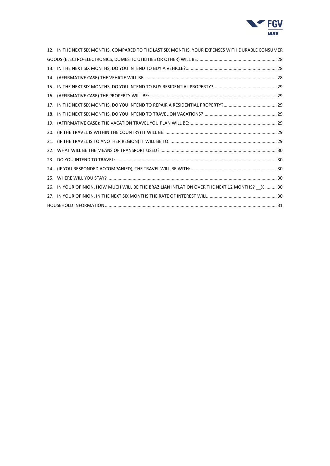

|     | 12. IN THE NEXT SIX MONTHS, COMPARED TO THE LAST SIX MONTHS, YOUR EXPENSES WITH DURABLE CONSUMER |  |
|-----|--------------------------------------------------------------------------------------------------|--|
|     |                                                                                                  |  |
|     |                                                                                                  |  |
|     |                                                                                                  |  |
|     |                                                                                                  |  |
|     |                                                                                                  |  |
|     |                                                                                                  |  |
|     |                                                                                                  |  |
| 19. |                                                                                                  |  |
| 20. |                                                                                                  |  |
|     |                                                                                                  |  |
|     |                                                                                                  |  |
|     |                                                                                                  |  |
|     |                                                                                                  |  |
|     |                                                                                                  |  |
|     | 26. IN YOUR OPINION, HOW MUCH WILL BE THE BRAZILIAN INFLATION OVER THE NEXT 12 MONTHS? %  30     |  |
|     |                                                                                                  |  |
|     |                                                                                                  |  |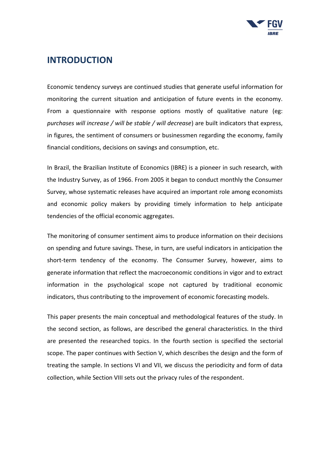

## <span id="page-3-0"></span>**INTRODUCTION**

Economic tendency surveys are continued studies that generate useful information for monitoring the current situation and anticipation of future events in the economy. From a questionnaire with response options mostly of qualitative nature (eg: *purchases will increase / will be stable / will decrease*) are built indicators that express, in figures, the sentiment of consumers or businessmen regarding the economy, family financial conditions, decisions on savings and consumption, etc.

In Brazil, the Brazilian Institute of Economics (IBRE) is a pioneer in such research, with the Industry Survey, as of 1966. From 2005 it began to conduct monthly the Consumer Survey, whose systematic releases have acquired an important role among economists and economic policy makers by providing timely information to help anticipate tendencies of the official economic aggregates.

The monitoring of consumer sentiment aims to produce information on their decisions on spending and future savings. These, in turn, are useful indicators in anticipation the short-term tendency of the economy. The Consumer Survey, however, aims to generate information that reflect the macroeconomic conditions in vigor and to extract information in the psychological scope not captured by traditional economic indicators, thus contributing to the improvement of economic forecasting models.

This paper presents the main conceptual and methodological features of the study. In the second section, as follows, are described the general characteristics. In the third are presented the researched topics. In the fourth section is specified the sectorial scope. The paper continues with Section V, which describes the design and the form of treating the sample. In sections VI and VII, we discuss the periodicity and form of data collection, while Section VIII sets out the privacy rules of the respondent.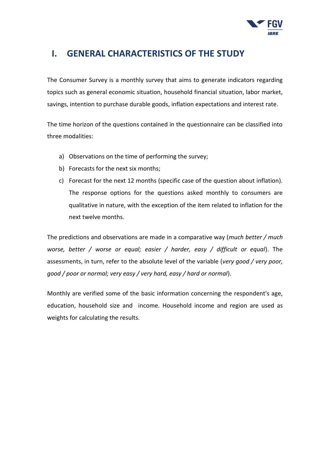

## <span id="page-4-0"></span>**I. GENERAL CHARACTERISTICS OF THE STUDY**

The Consumer Survey is a monthly survey that aims to generate indicators regarding topics such as general economic situation, household financial situation, labor market, savings, intention to purchase durable goods, inflation expectations and interest rate.

The time horizon of the questions contained in the questionnaire can be classified into three modalities:

- a) Observations on the time of performing the survey;
- b) Forecasts for the next six months;
- c) Forecast for the next 12 months (specific case of the question about inflation). The response options for the questions asked monthly to consumers are qualitative in nature, with the exception of the item related to inflation for the next twelve months.

The predictions and observations are made in a comparative way (*much better / much worse, better / worse or equal; easier / harder, easy / difficult or equal*). The assessments, in turn, refer to the absolute level of the variable (*very good / very poor, good / poor or normal; very easy / very hard, easy / hard or normal*).

Monthly are verified some of the basic information concerning the respondent's age, education, household size and income. Household income and region are used as weights for calculating the results.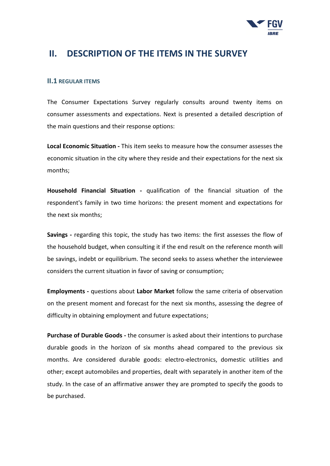

## <span id="page-5-0"></span>**II. DESCRIPTION OF THE ITEMS IN THE SURVEY**

#### <span id="page-5-1"></span>**II.1 REGULAR ITEMS**

The Consumer Expectations Survey regularly consults around twenty items on consumer assessments and expectations. Next is presented a detailed description of the main questions and their response options:

**Local Economic Situation -** This item seeks to measure how the consumer assesses the economic situation in the city where they reside and their expectations for the next six months;

**Household Financial Situation -** qualification of the financial situation of the respondent's family in two time horizons: the present moment and expectations for the next six months;

**Savings -** regarding this topic, the study has two items: the first assesses the flow of the household budget, when consulting it if the end result on the reference month will be savings, indebt or equilibrium. The second seeks to assess whether the interviewee considers the current situation in favor of saving or consumption;

**Employments -** questions about **Labor Market** follow the same criteria of observation on the present moment and forecast for the next six months, assessing the degree of difficulty in obtaining employment and future expectations;

**Purchase of Durable Goods -** the consumer is asked about their intentions to purchase durable goods in the horizon of six months ahead compared to the previous six months. Are considered durable goods: electro-electronics, domestic utilities and other; except automobiles and properties, dealt with separately in another item of the study. In the case of an affirmative answer they are prompted to specify the goods to be purchased.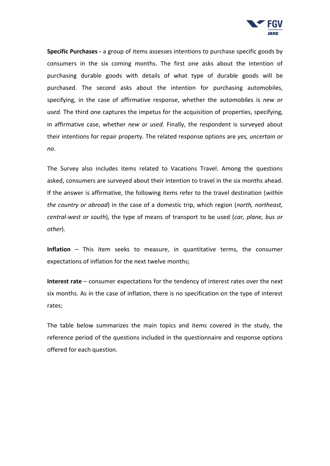

**Specific Purchases -** a group of items assesses intentions to purchase specific goods by consumers in the six coming months. The first one asks about the intention of purchasing durable goods with details of what type of durable goods will be purchased. The second asks about the intention for purchasing automobiles, specifying, in the case of affirmative response, whether the automobiles is *new or used*. The third one captures the impetus for the acquisition of properties, specifying, in affirmative case, whether *new or used*. Finally, the respondent is surveyed about their intentions for repair property. The related response options are *yes, uncertain or no*.

The Survey also includes items related to Vacations Travel. Among the questions asked, consumers are surveyed about their intention to travel in the six months ahead. If the answer is affirmative, the following items refer to the travel destination (*within the country or abroad*) in the case of a domestic trip, which region (*north, northeast, central-west or south*), the type of means of transport to be used (*car, plane, bus or other*).

**Inflation** – This item seeks to measure, in quantitative terms, the consumer expectations of inflation for the next twelve months;

**Interest rate** – consumer expectations for the tendency of interest rates over the next six months. As in the case of inflation, there is no specification on the type of interest rates;

The table below summarizes the main topics and items covered in the study, the reference period of the questions included in the questionnaire and response options offered for each question.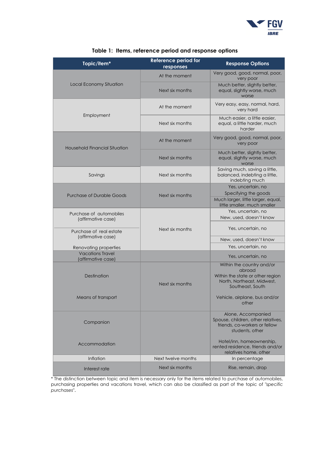

| Topic/item*                                   | <b>Reference period for</b><br>responses | <b>Response Options</b>                                                                                                   |
|-----------------------------------------------|------------------------------------------|---------------------------------------------------------------------------------------------------------------------------|
|                                               | At the moment                            | Very good, good, normal, poor,<br>very poor                                                                               |
| Local Economy Situation                       | Next six months                          | Much better, slightly better,<br>equal, slightly worse, much<br>worse                                                     |
|                                               | At the moment                            | Very easy, easy, normal, hard,<br>very hard                                                                               |
| Employment                                    | Next six months                          | Much easier, a little easier,<br>equal, a little harder, much<br>harder                                                   |
| Household Financial Situation                 | At the moment                            | Very good, good, normal, poor,<br>very poor                                                                               |
|                                               | Next six months                          | Much better, slightly better,<br>equal, slightly worse, much<br>worse                                                     |
| Savings                                       | Next six months                          | Saving much, saving a little,<br>balanced, indebting a little,<br>indebting much                                          |
|                                               |                                          | Yes, uncertain, no                                                                                                        |
| <b>Purchase of Durable Goods</b>              | Next six months                          | Specifying the goods                                                                                                      |
|                                               |                                          | Much larger, little larger, equal,<br>little smaller, much smaller                                                        |
| Purchase of automobiles                       |                                          | Yes, uncertain, no                                                                                                        |
| (affirmative case)                            |                                          | New, used, doesn't know                                                                                                   |
| Purchase of real estate                       | Next six months                          | Yes, uncertain, no                                                                                                        |
| (affirmative case)                            |                                          | New, used, doesn't know                                                                                                   |
| Renovating properties                         |                                          | Yes, uncertain, no                                                                                                        |
| <b>Vacations Travel</b><br>(affirmative case) |                                          | Yes, uncertain, no                                                                                                        |
| Destination                                   | Next six months                          | Within the country and/or<br>abroad<br>Within the state or other region<br>North, Northeast, Midwest,<br>Southeast, South |
| Means of transport                            |                                          | Vehicle, airplane, bus and/or<br>other                                                                                    |
| Companion                                     |                                          | Alone, Accompanied<br>Spouse, children, other relatives,<br>friends, co-workers or fellow<br>students, other              |
| Accommodation                                 |                                          | Hotel/inn, homeownership,<br>rented residence, friends and/or<br>relatives home, other                                    |
| Inflation                                     | Next twelve months                       | In percentage                                                                                                             |
| Interest rate                                 | Next six months                          | Rise, remain, drop                                                                                                        |

#### **Table 1: Items, reference period and response options**

\* The distinction between topic and item is necessary only for the items related to purchase of automobiles, purchasing properties and vacations travel, which can also be classified as part of the topic of "*specific purchases*".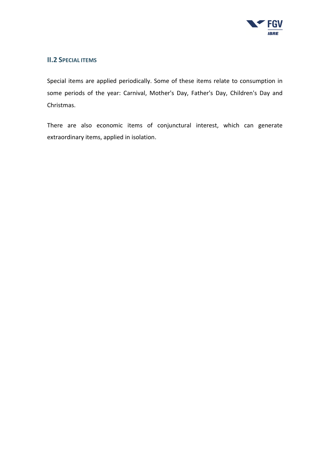

#### <span id="page-8-0"></span>**II.2 SPECIAL ITEMS**

Special items are applied periodically. Some of these items relate to consumption in some periods of the year: Carnival, Mother's Day, Father's Day, Children's Day and Christmas.

There are also economic items of conjunctural interest, which can generate extraordinary items, applied in isolation.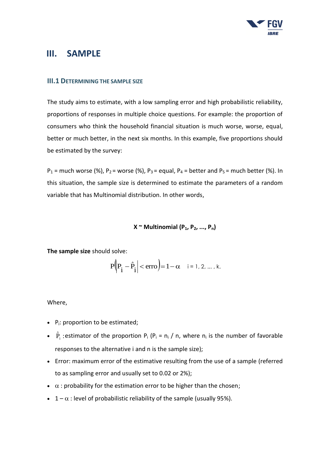

## <span id="page-9-0"></span>**III. SAMPLE**

#### <span id="page-9-1"></span>**III.1 DETERMINING THE SAMPLE SIZE**

The study aims to estimate, with a low sampling error and high probabilistic reliability, proportions of responses in multiple choice questions. For example: the proportion of consumers who think the household financial situation is much worse, worse, equal, better or much better, in the next six months. In this example, five proportions should be estimated by the survey:

 $P_1$  = much worse (%),  $P_2$  = worse (%),  $P_3$  = equal,  $P_4$  = better and  $P_5$  = much better (%). In this situation, the sample size is determined to estimate the parameters of a random variable that has Multinomial distribution. In other words,

#### $X \sim$  Multinomial ( $P_1, P_2, ..., P_n$ )

**The sample size** should solve:

$$
P\left(P_i - \hat{P}_i \mid < \text{erro} \right) = 1 - \alpha \quad i = 1, 2, \dots, k.
$$

Where,

- $\bullet$  P<sub>i</sub>: proportion to be estimated;
- $\hat{P}_i$ : estimator of the proportion  $P_i$  ( $P_i = n_i / n$ , where  $n_i$  is the number of favorable responses to the alternative i and n is the sample size);
- Error: maximum error of the estimative resulting from the use of a sample (referred to as sampling error and usually set to 0.02 or 2%);
- $\bullet$   $\alpha$ : probability for the estimation error to be higher than the chosen;
- $1 \alpha$ : level of probabilistic reliability of the sample (usually 95%).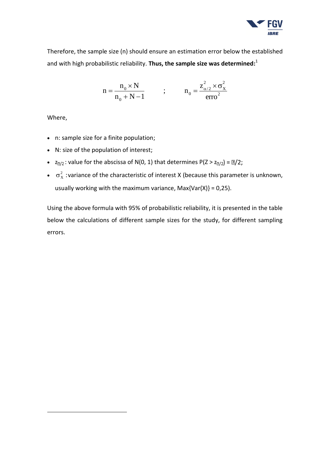

Therefore, the sample size (n) should ensure an estimation error below the established and with high probabilistic reliability. **Thus, the sample size was determined:** 1

$$
n = \frac{n_0 \times N}{n_0 + N - 1} \qquad ; \qquad n_0 = \frac{z_{\alpha/2}^2 \times \sigma_X^2}{\text{erro}^2}
$$

Where,

-

- n: sample size for a finite population;
- N: size of the population of interest;
- $z_{\text{m/2}}$ : value for the abscissa of N(0, 1) that determines P(Z >  $z_{\text{m/2}}$ ) =  $\text{m/2}$ ;
- $\sigma_X^2$  : variance of the characteristic of interest X (because this parameter is unknown, usually working with the maximum variance,  $Max\{Var(X)\} = 0,25$ ).

Using the above formula with 95% of probabilistic reliability, it is presented in the table below the calculations of different sample sizes for the study, for different sampling errors.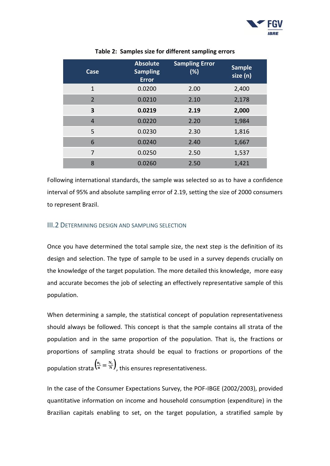

| <b>Case</b>    | <b>Absolute</b><br><b>Sampling</b><br><b>Error</b> | <b>Sampling Error</b><br>(%) | <b>Sample</b><br>size (n) |
|----------------|----------------------------------------------------|------------------------------|---------------------------|
| $\mathbf{1}$   | 0.0200                                             | 2.00                         | 2,400                     |
| $\overline{2}$ | 0.0210                                             | 2.10                         | 2,178                     |
| 3              | 0.0219                                             | 2.19                         | 2,000                     |
| $\overline{4}$ | 0.0220                                             | 2.20                         | 1,984                     |
| 5              | 0.0230                                             | 2.30                         | 1,816                     |
| 6              | 0.0240                                             | 2.40                         | 1,667                     |
| 7              | 0.0250                                             | 2.50                         | 1,537                     |
| 8              | 0.0260                                             | 2.50                         | 1,421                     |

#### **Table 2: Samples size for different sampling errors**

Following international standards, the sample was selected so as to have a confidence interval of 95% and absolute sampling error of 2.19, setting the size of 2000 consumers to represent Brazil.

#### III.2 DETERMINING DESIGN AND SAMPLING SELECTION

Once you have determined the total sample size, the next step is the definition of its design and selection. The type of sample to be used in a survey depends crucially on the knowledge of the target population. The more detailed this knowledge, more easy and accurate becomes the job of selecting an effectively representative sample of this population.

When determining a sample, the statistical concept of population representativeness should always be followed. This concept is that the sample contains all strata of the population and in the same proportion of the population. That is, the fractions or proportions of sampling strata should be equal to fractions or proportions of the population strata  $\left(\frac{n_i}{n} = \frac{N_i}{N}\right)$  $\frac{n_i}{n} = \frac{N_i}{N}$ , this ensures representativeness.

In the case of the Consumer Expectations Survey, the POF-IBGE (2002/2003), provided quantitative information on income and household consumption (expenditure) in the Brazilian capitals enabling to set, on the target population, a stratified sample by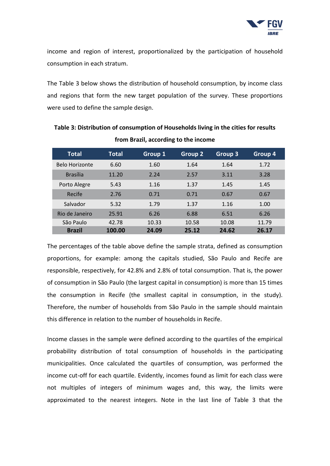

income and region of interest, proportionalized by the participation of household consumption in each stratum.

The Table 3 below shows the distribution of household consumption, by income class and regions that form the new target population of the survey. These proportions were used to define the sample design.

| <b>Total</b>          | <b>Total</b> | <b>Group 1</b> | <b>Group 2</b> | Group 3 | Group 4 |
|-----------------------|--------------|----------------|----------------|---------|---------|
| <b>Belo Horizonte</b> | 6.60         | 1.60           | 1.64           | 1.64    | 1.72    |
| <b>Brasília</b>       | 11.20        | 2.24           | 2.57           | 3.11    | 3.28    |
| Porto Alegre          | 5.43         | 1.16           | 1.37           | 1.45    | 1.45    |
| Recife                | 2.76         | 0.71           | 0.71           | 0.67    | 0.67    |
| Salvador              | 5.32         | 1.79           | 1.37           | 1.16    | 1.00    |
| Rio de Janeiro        | 25.91        | 6.26           | 6.88           | 6.51    | 6.26    |
| São Paulo             | 42.78        | 10.33          | 10.58          | 10.08   | 11.79   |
| <b>Brazil</b>         | 100.00       | 24.09          | 25.12          | 24.62   | 26.17   |

**Table 3: Distribution of consumption of Households living in the cities for results from Brazil, according to the income**

The percentages of the table above define the sample strata, defined as consumption proportions, for example: among the capitals studied, São Paulo and Recife are responsible, respectively, for 42.8% and 2.8% of total consumption. That is, the power of consumption in São Paulo (the largest capital in consumption) is more than 15 times the consumption in Recife (the smallest capital in consumption, in the study). Therefore, the number of households from São Paulo in the sample should maintain this difference in relation to the number of households in Recife.

Income classes in the sample were defined according to the quartiles of the empirical probability distribution of total consumption of households in the participating municipalities. Once calculated the quartiles of consumption, was performed the income cut-off for each quartile. Evidently, incomes found as limit for each class were not multiples of integers of minimum wages and, this way, the limits were approximated to the nearest integers. Note in the last line of Table 3 that the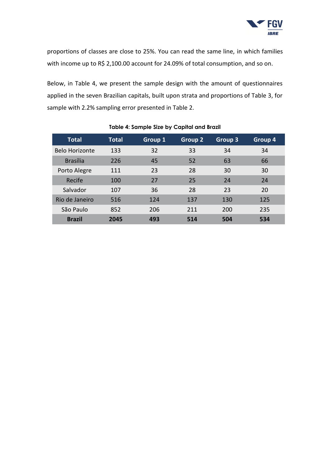

proportions of classes are close to 25%. You can read the same line, in which families with income up to R\$ 2,100.00 account for 24.09% of total consumption, and so on.

Below, in Table 4, we present the sample design with the amount of questionnaires applied in the seven Brazilian capitals, built upon strata and proportions of Table 3, for sample with 2.2% sampling error presented in Table 2.

| <b>Total</b>    | <b>Total</b> | Group 1 | <b>Group 2</b> | Group 3 | Group 4 |
|-----------------|--------------|---------|----------------|---------|---------|
| Belo Horizonte  | 133          | 32      | 33             | 34      | 34      |
| <b>Brasília</b> | 226          | 45      | 52             | 63      | 66      |
| Porto Alegre    | 111          | 23      | 28             | 30      | 30      |
| Recife          | 100          | 27      | 25             | 24      | 24      |
| Salvador        | 107          | 36      | 28             | 23      | 20      |
| Rio de Janeiro  | 516          | 124     | 137            | 130     | 125     |
| São Paulo       | 852          | 206     | 211            | 200     | 235     |
| <b>Brazil</b>   | 2045         | 493     | 514            | 504     | 534     |

#### **Table 4: Sample Size by Capital and Brazil**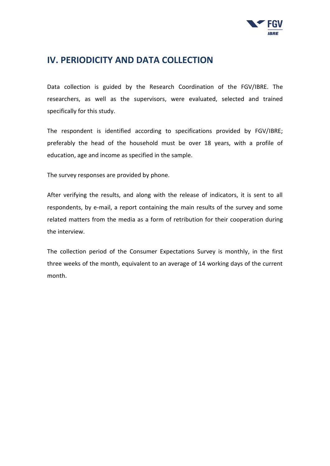

## <span id="page-14-0"></span>**IV. PERIODICITY AND DATA COLLECTION**

Data collection is guided by the Research Coordination of the FGV/IBRE. The researchers, as well as the supervisors, were evaluated, selected and trained specifically for this study.

The respondent is identified according to specifications provided by FGV/IBRE; preferably the head of the household must be over 18 years, with a profile of education, age and income as specified in the sample.

The survey responses are provided by phone.

After verifying the results, and along with the release of indicators, it is sent to all respondents, by e-mail, a report containing the main results of the survey and some related matters from the media as a form of retribution for their cooperation during the interview.

The collection period of the Consumer Expectations Survey is monthly, in the first three weeks of the month, equivalent to an average of 14 working days of the current month.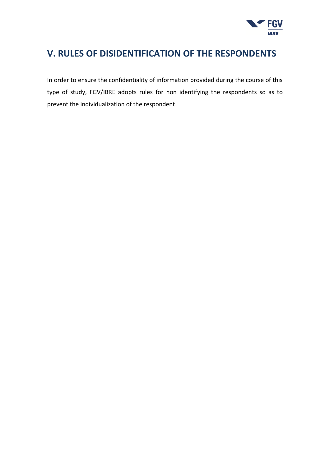

## <span id="page-15-0"></span>**V. RULES OF DISIDENTIFICATION OF THE RESPONDENTS**

In order to ensure the confidentiality of information provided during the course of this type of study, FGV/IBRE adopts rules for non identifying the respondents so as to prevent the individualization of the respondent.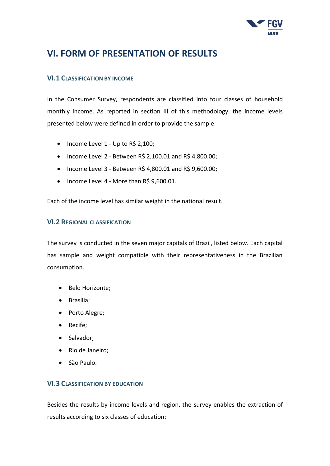

## **VI. FORM OF PRESENTATION OF RESULTS**

#### <span id="page-16-0"></span>**VI.1 CLASSIFICATION BY INCOME**

In the Consumer Survey, respondents are classified into four classes of household monthly income. As reported in section III of this methodology, the income levels presented below were defined in order to provide the sample:

- $\bullet$  Income Level 1 Up to R\$ 2,100;
- $\bullet$  Income Level 2 Between R\$ 2,100.01 and R\$ 4,800.00;
- Income Level 3 Between R\$ 4,800.01 and R\$ 9,600.00;
- Income Level 4 More than R\$ 9,600.01.

Each of the income level has similar weight in the national result.

#### <span id="page-16-1"></span>**VI.2 REGIONAL CLASSIFICATION**

The survey is conducted in the seven major capitals of Brazil, listed below. Each capital has sample and weight compatible with their representativeness in the Brazilian consumption.

- Belo Horizonte;
- Brasília;
- Porto Alegre;
- Recife;
- Salvador;
- Rio de Janeiro;
- São Paulo.

#### <span id="page-16-2"></span>**VI.3 CLASSIFICATION BY EDUCATION**

Besides the results by income levels and region, the survey enables the extraction of results according to six classes of education: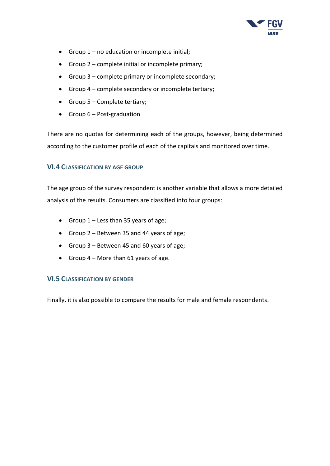

- Group 1 no education or incomplete initial;
- Group 2 complete initial or incomplete primary;
- Group 3 complete primary or incomplete secondary;
- Group 4 complete secondary or incomplete tertiary;
- Group 5 Complete tertiary;
- Group  $6$  Post-graduation

There are no quotas for determining each of the groups, however, being determined according to the customer profile of each of the capitals and monitored over time.

#### <span id="page-17-0"></span>**VI.4 CLASSIFICATION BY AGE GROUP**

The age group of the survey respondent is another variable that allows a more detailed analysis of the results. Consumers are classified into four groups:

- Group  $1 -$  Less than 35 years of age;
- Group 2 Between 35 and 44 years of age;
- Group 3 Between 45 and 60 years of age;
- Group  $4 -$  More than 61 years of age.

#### <span id="page-17-1"></span>**VI.5 CLASSIFICATION BY GENDER**

Finally, it is also possible to compare the results for male and female respondents.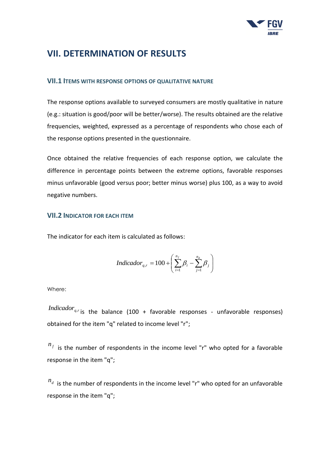

## <span id="page-18-0"></span>**VII. DETERMINATION OF RESULTS**

#### <span id="page-18-1"></span>**VII.1 ITEMS WITH RESPONSE OPTIONS OF QUALITATIVE NATURE**

The response options available to surveyed consumers are mostly qualitative in nature (e.g.: situation is good/poor will be better/worse). The results obtained are the relative frequencies, weighted, expressed as a percentage of respondents who chose each of the response options presented in the questionnaire.

Once obtained the relative frequencies of each response option, we calculate the difference in percentage points between the extreme options, favorable responses minus unfavorable (good versus poor; better minus worse) plus 100, as a way to avoid negative numbers.

#### <span id="page-18-2"></span>**VII.2 INDICATOR FOR EACH ITEM**

The indicator for each item is calculated as follows:

$$
Indicador_{q,r} = 100 + \left(\sum_{i=1}^{n_f} \beta_i - \sum_{j=1}^{n_d} \beta_j\right)
$$

Where:

Indicador<sub>q,r</sub> is the balance (100 + favorable responses - unfavorable responses) obtained for the item "q" related to income level "r";

 $n_f$  is the number of respondents in the income level "r" who opted for a favorable response in the item "q";

 $n_d$  is the number of respondents in the income level "r" who opted for an unfavorable response in the item "q";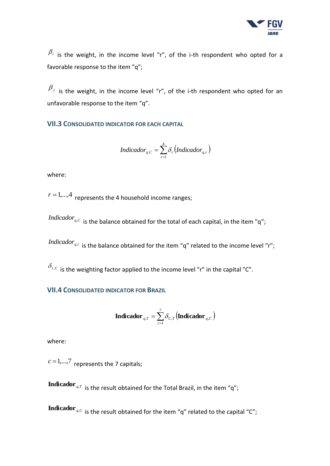

 $\beta_i$  is the weight, in the income level "r", of the i-th respondent who opted for a favorable response to the item "q";

 $\beta_j$  is the weight, in the income level "r", of the i-th respondent who opted for an unfavorable response to the item "q".

<span id="page-19-0"></span>**VII.3 CONSOLIDATED INDICATOR FOR EACH CAPITAL**

$$
Indicador_{q,C} = \sum_{r=1}^{4} \delta_r (Indicador_{q,r})
$$

where:

 $r = 1,...,4$  represents the 4 household income ranges;

*Indicador<sub>q.</sub>c* is the balance obtained for the total of each capital, in the item "q";

Indicador<sub>q,r</sub> is the balance obtained for the item "q" related to the income level "r";

 $\delta_{r,\mathcal{C}}$  is the weighting factor applied to the income level "r" in the capital "C".

#### <span id="page-19-1"></span>**VII.4 CONSOLIDATED INDICATOR FOR BRAZIL**

$$
\mathbf{Indicador}_{q,T} = \sum_{c=1}^{7} \delta_{C,T} \left( \mathbf{Indicador}_{q,C} \right)
$$

where:

 $c=1,...,7$  represents the 7 capitals;

 $\mathbf M$  **indicador**  $_{q,T}$  is the result obtained for the Total Brazil, in the item "q";

**Indicador** <sub>q,</sub> $c$  is the result obtained for the item "q" related to the capital "C";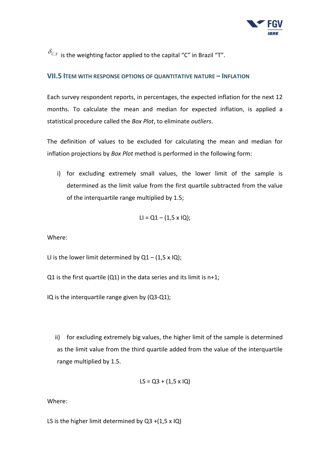

 $\delta_{c,r}$  is the weighting factor applied to the capital "C" in Brazil "T".

#### <span id="page-20-0"></span>**VII.5 ITEM WITH RESPONSE OPTIONS OF QUANTITATIVE NATURE – INFLATION**

Each survey respondent reports, in percentages, the expected inflation for the next 12 months. To calculate the mean and median for expected inflation, is applied a statistical procedure called the *Box Plot*, to eliminate *outliers*.

The definition of values to be excluded for calculating the mean and median for inflation projections by *Box Plot* method is performed in the following form:

i) for excluding extremely small values, the lower limit of the sample is determined as the limit value from the first quartile subtracted from the value of the interquartile range multiplied by 1.5;

$$
LI = Q1 - (1.5 \times IQ);
$$

Where:

LI is the lower limit determined by  $Q1 - (1.5 \times IQ)$ ;

- Q1 is the first quartile (Q1) in the data series and its limit is  $n+1$ ;
- IQ is the interquartile range given by (Q3-Q1);

ii) for excluding extremely big values, the higher limit of the sample is determined as the limit value from the third quartile added from the value of the interquartile range multiplied by 1.5.

$$
LS = Q3 + (1.5 \times IQ)
$$

Where:

LS is the higher limit determined by  $Q3 + (1.5 \times IQ)$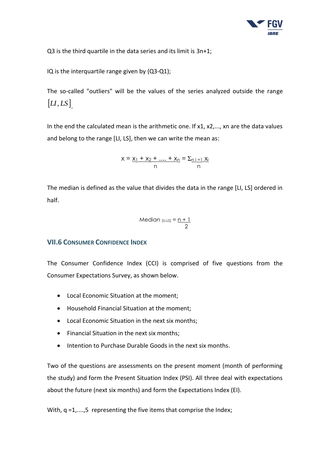

Q3 is the third quartile in the data series and its limit is 3n+1;

IQ is the interquartile range given by (Q3-Q1);

The so-called "outliers" will be the values of the series analyzed outside the range  $\left[$ *LI*,*LS* $\right]$ <sub>.</sub>

In the end the calculated mean is the arithmetic one. If x1, x2,..., xn are the data values and belong to the range [LI, LS], then we can write the mean as:

$$
x = \frac{x_1 + x_2 + \dots + x_n}{n} = \frac{\sum_{n \ i = 1} x_i}{n}
$$

The median is defined as the value that divides the data in the range [LI, LS] ordered in half.

Median 
$$
[L,LS] = \frac{n+1}{2}
$$

#### <span id="page-21-0"></span>**VII.6 CONSUMER CONFIDENCE INDEX**

The Consumer Confidence Index (CCI) is comprised of five questions from the Consumer Expectations Survey, as shown below.

- Local Economic Situation at the moment;
- Household Financial Situation at the moment;
- Local Economic Situation in the next six months;
- Financial Situation in the next six months;
- Intention to Purchase Durable Goods in the next six months.

Two of the questions are assessments on the present moment (month of performing the study) and form the Present Situation Index (PSI). All three deal with expectations about the future (next six months) and form the Expectations Index (EI).

With, q =1,....,5 representing the five items that comprise the Index;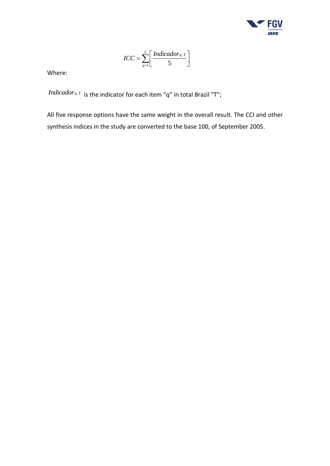

$$
ICC = \sum_{q=1}^{5} \left[ \frac{Indicador_{q,T}}{5} \right]
$$

Where:

 $\mathit{Indicador}_{q,T}$  is the indicator for each item "q" in total Brazil "T";

All five response options have the same weight in the overall result. The CCI and other synthesis indices in the study are converted to the base 100, of September 2005.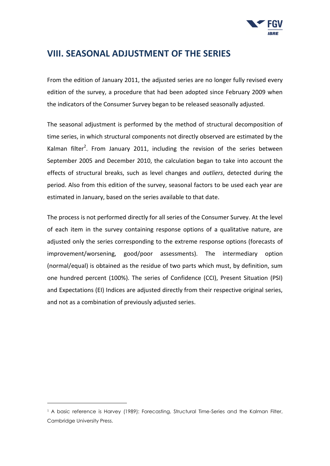

## <span id="page-23-0"></span>**VIII. SEASONAL ADJUSTMENT OF THE SERIES**

From the edition of January 2011, the adjusted series are no longer fully revised every edition of the survey, a procedure that had been adopted since February 2009 when the indicators of the Consumer Survey began to be released seasonally adjusted.

The seasonal adjustment is performed by the method of structural decomposition of time series, in which structural components not directly observed are estimated by the Kalman filter<sup>2</sup>. From January 2011, including the revision of the series between September 2005 and December 2010, the calculation began to take into account the effects of structural breaks, such as level changes and *outliers*, detected during the period. Also from this edition of the survey, seasonal factors to be used each year are estimated in January, based on the series available to that date.

The process is not performed directly for all series of the Consumer Survey. At the level of each item in the survey containing response options of a qualitative nature, are adjusted only the series corresponding to the extreme response options (forecasts of improvement/worsening, good/poor assessments). The intermediary option (normal/equal) is obtained as the residue of two parts which must, by definition, sum one hundred percent (100%). The series of Confidence (CCI), Present Situation (PSI) and Expectations (EI) Indices are adjusted directly from their respective original series, and not as a combination of previously adjusted series.

-

<sup>&</sup>lt;sup>1</sup> A basic reference is Harvey (1989): Forecasting, Structural Time-Series and the Kalman Filter, Cambridge University Press.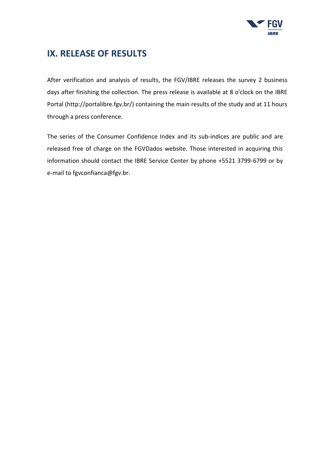

## <span id="page-24-0"></span>**IX. RELEASE OF RESULTS**

After verification and analysis of results, the FGV/IBRE releases the survey 2 business days after finishing the collection. The press release is available at 8 o'clock on the IBRE Portal (http://portalibre.fgv.br/) containing the main results of the study and at 11 hours through a press conference.

The series of the Consumer Confidence Index and its sub-indices are public and are released free of charge on the FGVDados website. Those interested in acquiring this information should contact the IBRE Service Center by phone +5521 3799-6799 or by e-mail to fgvconfianca@fgv.br.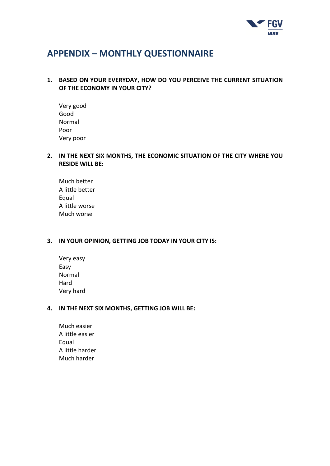

## <span id="page-25-0"></span>**APPENDIX – MONTHLY QUESTIONNAIRE**

#### <span id="page-25-1"></span>**1. BASED ON YOUR EVERYDAY, HOW DO YOU PERCEIVE THE CURRENT SITUATION OF THE ECONOMY IN YOUR CITY?**

Very good Good Normal Poor Very poor

#### <span id="page-25-2"></span>**2. IN THE NEXT SIX MONTHS, THE ECONOMIC SITUATION OF THE CITY WHERE YOU RESIDE WILL BE:**

Much better A little better Equal A little worse Much worse

#### <span id="page-25-3"></span>**3. IN YOUR OPINION, GETTING JOB TODAY IN YOUR CITY IS:**

Very easy Easy Normal Hard Very hard

#### <span id="page-25-4"></span>**4. IN THE NEXT SIX MONTHS, GETTING JOB WILL BE:**

Much easier A little easier Equal A little harder Much harder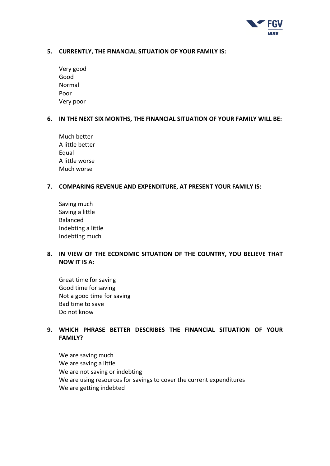

#### <span id="page-26-0"></span>**5. CURRENTLY, THE FINANCIAL SITUATION OF YOUR FAMILY IS:**

| Very good |
|-----------|
| Good      |
| Normal    |
| Poor      |
| Very poor |

#### <span id="page-26-1"></span>**6. IN THE NEXT SIX MONTHS, THE FINANCIAL SITUATION OF YOUR FAMILY WILL BE:**

Much better A little better Equal A little worse Much worse

#### <span id="page-26-2"></span>**7. COMPARING REVENUE AND EXPENDITURE, AT PRESENT YOUR FAMILY IS:**

Saving much Saving a little Balanced Indebting a little Indebting much

#### <span id="page-26-3"></span>**8. IN VIEW OF THE ECONOMIC SITUATION OF THE COUNTRY, YOU BELIEVE THAT NOW IT IS A:**

Great time for saving Good time for saving Not a good time for saving Bad time to save Do not know

#### <span id="page-26-4"></span>**9. WHICH PHRASE BETTER DESCRIBES THE FINANCIAL SITUATION OF YOUR FAMILY?**

We are saving much We are saving a little We are not saving or indebting We are using resources for savings to cover the current expenditures We are getting indebted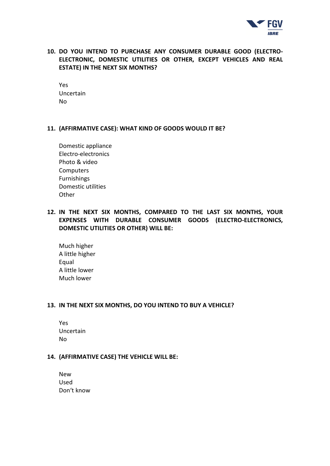

#### <span id="page-27-0"></span>**10. DO YOU INTEND TO PURCHASE ANY CONSUMER DURABLE GOOD (ELECTRO-ELECTRONIC, DOMESTIC UTILITIES OR OTHER, EXCEPT VEHICLES AND REAL ESTATE) IN THE NEXT SIX MONTHS?**

Yes Uncertain No

#### <span id="page-27-1"></span>**11. (AFFIRMATIVE CASE): WHAT KIND OF GOODS WOULD IT BE?**

| Domestic appliance  |
|---------------------|
| Electro-electronics |
| Photo & video       |
| Computers           |
| <b>Furnishings</b>  |
| Domestic utilities  |
| Other               |

#### <span id="page-27-2"></span>**12. IN THE NEXT SIX MONTHS, COMPARED TO THE LAST SIX MONTHS, YOUR EXPENSES WITH DURABLE CONSUMER GOODS (ELECTRO-ELECTRONICS, DOMESTIC UTILITIES OR OTHER) WILL BE:**

Much higher A little higher Equal A little lower Much lower

#### <span id="page-27-3"></span>**13. IN THE NEXT SIX MONTHS, DO YOU INTEND TO BUY A VEHICLE?**

| Yes       |
|-----------|
| Uncertain |
| N٥        |

#### <span id="page-27-4"></span>**14. (AFFIRMATIVE CASE) THE VEHICLE WILL BE:**

New Used Don't know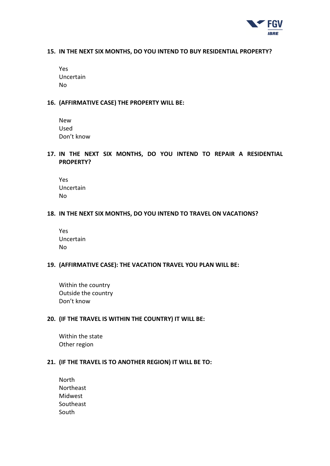

#### <span id="page-28-0"></span>**15. IN THE NEXT SIX MONTHS, DO YOU INTEND TO BUY RESIDENTIAL PROPERTY?**

| Yes       |
|-----------|
| Uncertain |
| No        |

#### <span id="page-28-1"></span>**16. (AFFIRMATIVE CASE) THE PROPERTY WILL BE:**

| New        |  |
|------------|--|
| Used       |  |
| Don't know |  |

<span id="page-28-2"></span>**17. IN THE NEXT SIX MONTHS, DO YOU INTEND TO REPAIR A RESIDENTIAL PROPERTY?**

| Yes       |
|-----------|
| Uncertain |
| N٥        |

#### <span id="page-28-3"></span>**18. IN THE NEXT SIX MONTHS, DO YOU INTEND TO TRAVEL ON VACATIONS?**

| Yes       |
|-----------|
| Uncertain |
| N٥        |

#### <span id="page-28-4"></span>**19. (AFFIRMATIVE CASE): THE VACATION TRAVEL YOU PLAN WILL BE:**

Within the country Outside the country Don't know

#### <span id="page-28-5"></span>**20. (IF THE TRAVEL IS WITHIN THE COUNTRY) IT WILL BE:**

Within the state Other region

#### <span id="page-28-6"></span>**21. (IF THE TRAVEL IS TO ANOTHER REGION) IT WILL BE TO:**

North Northeast Midwest Southeast South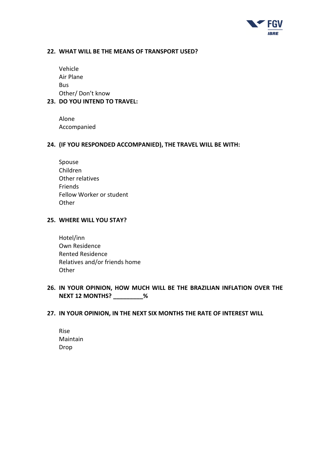

#### <span id="page-29-0"></span>**22. WHAT WILL BE THE MEANS OF TRANSPORT USED?**

Vehicle Air Plane Bus Other/ Don't know

#### <span id="page-29-1"></span>**23. DO YOU INTEND TO TRAVEL:**

Alone Accompanied

#### <span id="page-29-2"></span>**24. (IF YOU RESPONDED ACCOMPANIED), THE TRAVEL WILL BE WITH:**

Spouse Children Other relatives Friends Fellow Worker or student Other

#### <span id="page-29-3"></span>**25. WHERE WILL YOU STAY?**

Hotel/inn Own Residence Rented Residence Relatives and/or friends home **Other** 

#### <span id="page-29-4"></span>**26. IN YOUR OPINION, HOW MUCH WILL BE THE BRAZILIAN INFLATION OVER THE NEXT 12 MONTHS? \_\_\_\_\_\_\_\_\_%**

#### <span id="page-29-5"></span>**27. IN YOUR OPINION, IN THE NEXT SIX MONTHS THE RATE OF INTEREST WILL**

Rise Maintain Drop